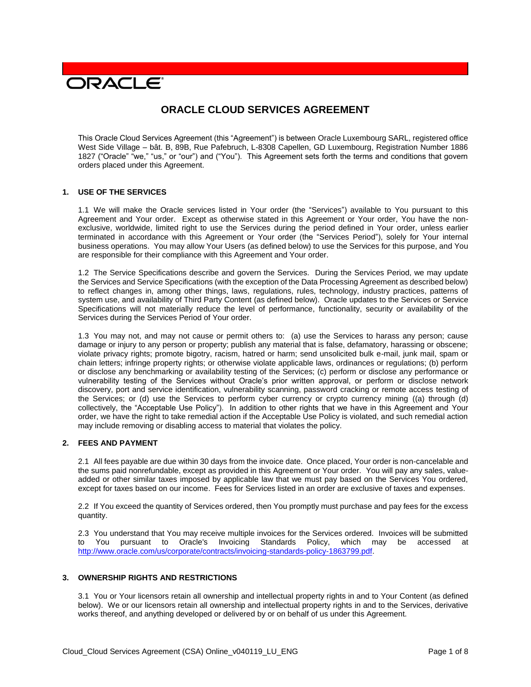# **DRACLE**

# **ORACLE CLOUD SERVICES AGREEMENT**

This Oracle Cloud Services Agreement (this "Agreement") is between Oracle Luxembourg SARL, registered office West Side Village – bât. B, 89B, Rue Pafebruch, L-8308 Capellen, GD Luxembourg, Registration Number 1886 1827 ("Oracle" "we," "us," or "our") and ("You"). This Agreement sets forth the terms and conditions that govern orders placed under this Agreement.

#### **1. USE OF THE SERVICES**

1.1 We will make the Oracle services listed in Your order (the "Services") available to You pursuant to this Agreement and Your order. Except as otherwise stated in this Agreement or Your order, You have the nonexclusive, worldwide, limited right to use the Services during the period defined in Your order, unless earlier terminated in accordance with this Agreement or Your order (the "Services Period"), solely for Your internal business operations. You may allow Your Users (as defined below) to use the Services for this purpose, and You are responsible for their compliance with this Agreement and Your order.

1.2 The Service Specifications describe and govern the Services. During the Services Period, we may update the Services and Service Specifications (with the exception of the Data Processing Agreement as described below) to reflect changes in, among other things, laws, regulations, rules, technology, industry practices, patterns of system use, and availability of Third Party Content (as defined below). Oracle updates to the Services or Service Specifications will not materially reduce the level of performance, functionality, security or availability of the Services during the Services Period of Your order.

1.3 You may not, and may not cause or permit others to: (a) use the Services to harass any person; cause damage or injury to any person or property; publish any material that is false, defamatory, harassing or obscene; violate privacy rights; promote bigotry, racism, hatred or harm; send unsolicited bulk e-mail, junk mail, spam or chain letters; infringe property rights; or otherwise violate applicable laws, ordinances or regulations; (b) perform or disclose any benchmarking or availability testing of the Services; (c) perform or disclose any performance or vulnerability testing of the Services without Oracle's prior written approval, or perform or disclose network discovery, port and service identification, vulnerability scanning, password cracking or remote access testing of the Services; or (d) use the Services to perform cyber currency or crypto currency mining ((a) through (d) collectively, the "Acceptable Use Policy"). In addition to other rights that we have in this Agreement and Your order, we have the right to take remedial action if the Acceptable Use Policy is violated, and such remedial action may include removing or disabling access to material that violates the policy.

#### **2. FEES AND PAYMENT**

2.1 All fees payable are due within 30 days from the invoice date. Once placed, Your order is non-cancelable and the sums paid nonrefundable, except as provided in this Agreement or Your order. You will pay any sales, valueadded or other similar taxes imposed by applicable law that we must pay based on the Services You ordered, except for taxes based on our income. Fees for Services listed in an order are exclusive of taxes and expenses.

2.2 If You exceed the quantity of Services ordered, then You promptly must purchase and pay fees for the excess quantity.

2.3 You understand that You may receive multiple invoices for the Services ordered. Invoices will be submitted to You pursuant to Oracle's Invoicing Standards Policy, which may be accessed at [http://www.oracle.com/us/corporate/contracts/invoicing-standards-policy-1863799.pdf.](http://www.oracle.com/us/corporate/contracts/invoicing-standards-policy-1863799.pdf)

#### **3. OWNERSHIP RIGHTS AND RESTRICTIONS**

3.1 You or Your licensors retain all ownership and intellectual property rights in and to Your Content (as defined below). We or our licensors retain all ownership and intellectual property rights in and to the Services, derivative works thereof, and anything developed or delivered by or on behalf of us under this Agreement.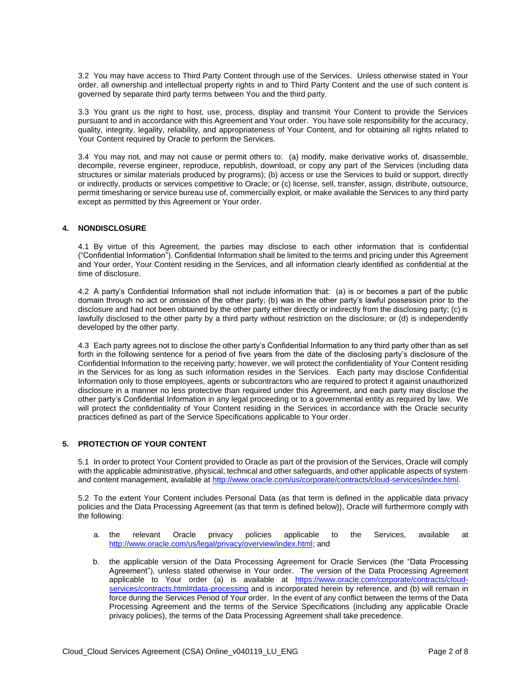3.2 You may have access to Third Party Content through use of the Services. Unless otherwise stated in Your order, all ownership and intellectual property rights in and to Third Party Content and the use of such content is governed by separate third party terms between You and the third party.

3.3 You grant us the right to host, use, process, display and transmit Your Content to provide the Services pursuant to and in accordance with this Agreement and Your order. You have sole responsibility for the accuracy, quality, integrity, legality, reliability, and appropriateness of Your Content, and for obtaining all rights related to Your Content required by Oracle to perform the Services.

3.4 You may not, and may not cause or permit others to: (a) modify, make derivative works of, disassemble, decompile, reverse engineer, reproduce, republish, download, or copy any part of the Services (including data structures or similar materials produced by programs); (b) access or use the Services to build or support, directly or indirectly, products or services competitive to Oracle; or (c) license, sell, transfer, assign, distribute, outsource, permit timesharing or service bureau use of, commercially exploit, or make available the Services to any third party except as permitted by this Agreement or Your order.

#### **4. NONDISCLOSURE**

4.1 By virtue of this Agreement, the parties may disclose to each other information that is confidential ("Confidential Information"). Confidential Information shall be limited to the terms and pricing under this Agreement and Your order, Your Content residing in the Services, and all information clearly identified as confidential at the time of disclosure.

4.2 A party's Confidential Information shall not include information that: (a) is or becomes a part of the public domain through no act or omission of the other party; (b) was in the other party's lawful possession prior to the disclosure and had not been obtained by the other party either directly or indirectly from the disclosing party; (c) is lawfully disclosed to the other party by a third party without restriction on the disclosure; or (d) is independently developed by the other party.

4.3 Each party agrees not to disclose the other party's Confidential Information to any third party other than as set forth in the following sentence for a period of five years from the date of the disclosing party's disclosure of the Confidential Information to the receiving party; however, we will protect the confidentiality of Your Content residing in the Services for as long as such information resides in the Services. Each party may disclose Confidential Information only to those employees, agents or subcontractors who are required to protect it against unauthorized disclosure in a manner no less protective than required under this Agreement, and each party may disclose the other party's Confidential Information in any legal proceeding or to a governmental entity as required by law. We will protect the confidentiality of Your Content residing in the Services in accordance with the Oracle security practices defined as part of the Service Specifications applicable to Your order.

# **5. PROTECTION OF YOUR CONTENT**

5.1 In order to protect Your Content provided to Oracle as part of the provision of the Services, Oracle will comply with the applicable administrative, physical, technical and other safeguards, and other applicable aspects of system and content management, available at [http://www.oracle.com/us/corporate/contracts/cloud-services/index.html.](http://www.oracle.com/us/corporate/contracts/cloud-services/index.html)

5.2 To the extent Your Content includes Personal Data (as that term is defined in the applicable data privacy policies and the Data Processing Agreement (as that term is defined below)), Oracle will furthermore comply with the following:

- a. the relevant Oracle privacy policies applicable to the Services, available at [http://www.oracle.com/us/legal/privacy/overview/index.html;](http://www.oracle.com/us/legal/privacy/overview/index.html) and
- b. the applicable version of the Data Processing Agreement for Oracle Services (the "Data Processing Agreement"), unless stated otherwise in Your order. The version of the Data Processing Agreement applicable to Your order (a) is available at [https://www.oracle.com/corporate/contracts/cloud](https://www.oracle.com/corporate/contracts/cloud-services/contracts.html#data-processing)[services/contracts.html#data-processing](https://www.oracle.com/corporate/contracts/cloud-services/contracts.html#data-processing) and is incorporated herein by reference, and (b) will remain in force during the Services Period of Your order. In the event of any conflict between the terms of the Data Processing Agreement and the terms of the Service Specifications (including any applicable Oracle privacy policies), the terms of the Data Processing Agreement shall take precedence.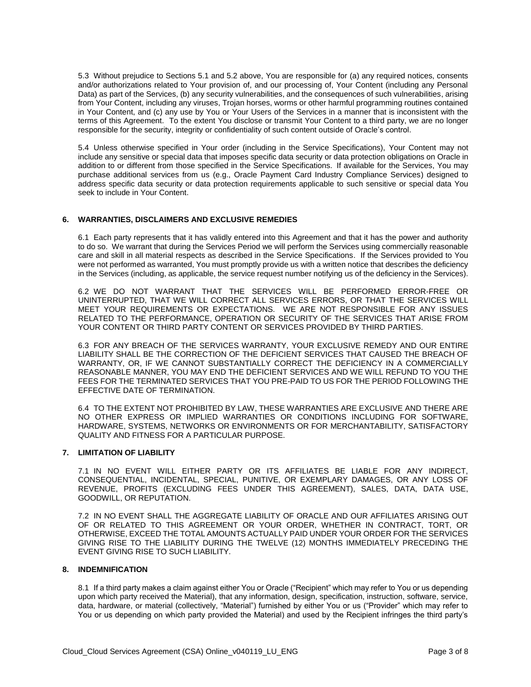5.3 Without prejudice to Sections 5.1 and 5.2 above, You are responsible for (a) any required notices, consents and/or authorizations related to Your provision of, and our processing of, Your Content (including any Personal Data) as part of the Services, (b) any security vulnerabilities, and the consequences of such vulnerabilities, arising from Your Content, including any viruses, Trojan horses, worms or other harmful programming routines contained in Your Content, and (c) any use by You or Your Users of the Services in a manner that is inconsistent with the terms of this Agreement. To the extent You disclose or transmit Your Content to a third party, we are no longer responsible for the security, integrity or confidentiality of such content outside of Oracle's control.

5.4 Unless otherwise specified in Your order (including in the Service Specifications), Your Content may not include any sensitive or special data that imposes specific data security or data protection obligations on Oracle in addition to or different from those specified in the Service Specifications. If available for the Services, You may purchase additional services from us (e.g., Oracle Payment Card Industry Compliance Services) designed to address specific data security or data protection requirements applicable to such sensitive or special data You seek to include in Your Content.

#### **6. WARRANTIES, DISCLAIMERS AND EXCLUSIVE REMEDIES**

6.1 Each party represents that it has validly entered into this Agreement and that it has the power and authority to do so. We warrant that during the Services Period we will perform the Services using commercially reasonable care and skill in all material respects as described in the Service Specifications. If the Services provided to You were not performed as warranted, You must promptly provide us with a written notice that describes the deficiency in the Services (including, as applicable, the service request number notifying us of the deficiency in the Services).

6.2 WE DO NOT WARRANT THAT THE SERVICES WILL BE PERFORMED ERROR-FREE OR UNINTERRUPTED, THAT WE WILL CORRECT ALL SERVICES ERRORS, OR THAT THE SERVICES WILL MEET YOUR REQUIREMENTS OR EXPECTATIONS. WE ARE NOT RESPONSIBLE FOR ANY ISSUES RELATED TO THE PERFORMANCE, OPERATION OR SECURITY OF THE SERVICES THAT ARISE FROM YOUR CONTENT OR THIRD PARTY CONTENT OR SERVICES PROVIDED BY THIRD PARTIES.

6.3 FOR ANY BREACH OF THE SERVICES WARRANTY, YOUR EXCLUSIVE REMEDY AND OUR ENTIRE LIABILITY SHALL BE THE CORRECTION OF THE DEFICIENT SERVICES THAT CAUSED THE BREACH OF WARRANTY, OR, IF WE CANNOT SUBSTANTIALLY CORRECT THE DEFICIENCY IN A COMMERCIALLY REASONABLE MANNER, YOU MAY END THE DEFICIENT SERVICES AND WE WILL REFUND TO YOU THE FEES FOR THE TERMINATED SERVICES THAT YOU PRE-PAID TO US FOR THE PERIOD FOLLOWING THE EFFECTIVE DATE OF TERMINATION.

6.4 TO THE EXTENT NOT PROHIBITED BY LAW, THESE WARRANTIES ARE EXCLUSIVE AND THERE ARE NO OTHER EXPRESS OR IMPLIED WARRANTIES OR CONDITIONS INCLUDING FOR SOFTWARE, HARDWARE, SYSTEMS, NETWORKS OR ENVIRONMENTS OR FOR MERCHANTABILITY, SATISFACTORY QUALITY AND FITNESS FOR A PARTICULAR PURPOSE.

#### **7. LIMITATION OF LIABILITY**

7.1 IN NO EVENT WILL EITHER PARTY OR ITS AFFILIATES BE LIABLE FOR ANY INDIRECT, CONSEQUENTIAL, INCIDENTAL, SPECIAL, PUNITIVE, OR EXEMPLARY DAMAGES, OR ANY LOSS OF REVENUE, PROFITS (EXCLUDING FEES UNDER THIS AGREEMENT), SALES, DATA, DATA USE, GOODWILL, OR REPUTATION.

7.2 IN NO EVENT SHALL THE AGGREGATE LIABILITY OF ORACLE AND OUR AFFILIATES ARISING OUT OF OR RELATED TO THIS AGREEMENT OR YOUR ORDER, WHETHER IN CONTRACT, TORT, OR OTHERWISE, EXCEED THE TOTAL AMOUNTS ACTUALLY PAID UNDER YOUR ORDER FOR THE SERVICES GIVING RISE TO THE LIABILITY DURING THE TWELVE (12) MONTHS IMMEDIATELY PRECEDING THE EVENT GIVING RISE TO SUCH LIABILITY.

#### **8. INDEMNIFICATION**

8.1 If a third party makes a claim against either You or Oracle ("Recipient" which may refer to You or us depending upon which party received the Material), that any information, design, specification, instruction, software, service, data, hardware, or material (collectively, "Material") furnished by either You or us ("Provider" which may refer to You or us depending on which party provided the Material) and used by the Recipient infringes the third party's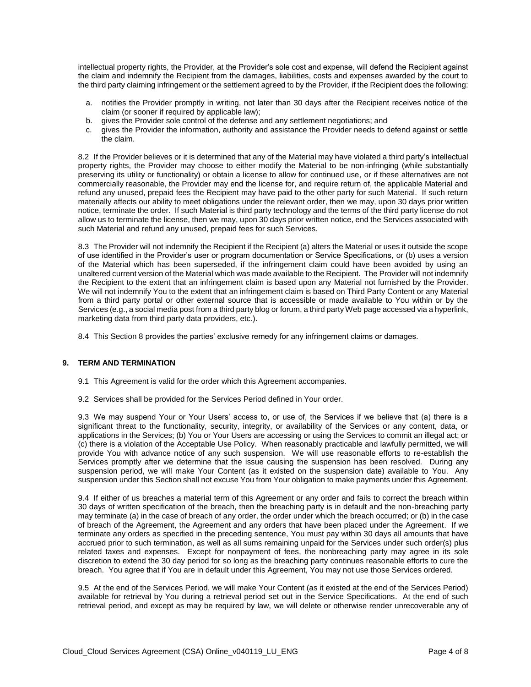intellectual property rights, the Provider, at the Provider's sole cost and expense, will defend the Recipient against the claim and indemnify the Recipient from the damages, liabilities, costs and expenses awarded by the court to the third party claiming infringement or the settlement agreed to by the Provider, if the Recipient does the following:

- a. notifies the Provider promptly in writing, not later than 30 days after the Recipient receives notice of the claim (or sooner if required by applicable law);
- b. gives the Provider sole control of the defense and any settlement negotiations; and
- c. gives the Provider the information, authority and assistance the Provider needs to defend against or settle the claim.

8.2 If the Provider believes or it is determined that any of the Material may have violated a third party's intellectual property rights, the Provider may choose to either modify the Material to be non-infringing (while substantially preserving its utility or functionality) or obtain a license to allow for continued use, or if these alternatives are not commercially reasonable, the Provider may end the license for, and require return of, the applicable Material and refund any unused, prepaid fees the Recipient may have paid to the other party for such Material. If such return materially affects our ability to meet obligations under the relevant order, then we may, upon 30 days prior written notice, terminate the order. If such Material is third party technology and the terms of the third party license do not allow us to terminate the license, then we may, upon 30 days prior written notice, end the Services associated with such Material and refund any unused, prepaid fees for such Services.

8.3 The Provider will not indemnify the Recipient if the Recipient (a) alters the Material or uses it outside the scope of use identified in the Provider's user or program documentation or Service Specifications, or (b) uses a version of the Material which has been superseded, if the infringement claim could have been avoided by using an unaltered current version of the Material which was made available to the Recipient. The Provider will not indemnify the Recipient to the extent that an infringement claim is based upon any Material not furnished by the Provider. We will not indemnify You to the extent that an infringement claim is based on Third Party Content or any Material from a third party portal or other external source that is accessible or made available to You within or by the Services (e.g., a social media post from a third party blog or forum, a third party Web page accessed via a hyperlink, marketing data from third party data providers, etc.).

8.4 This Section 8 provides the parties' exclusive remedy for any infringement claims or damages.

#### **9. TERM AND TERMINATION**

- 9.1 This Agreement is valid for the order which this Agreement accompanies.
- 9.2 Services shall be provided for the Services Period defined in Your order.

9.3 We may suspend Your or Your Users' access to, or use of, the Services if we believe that (a) there is a significant threat to the functionality, security, integrity, or availability of the Services or any content, data, or applications in the Services; (b) You or Your Users are accessing or using the Services to commit an illegal act; or (c) there is a violation of the Acceptable Use Policy. When reasonably practicable and lawfully permitted, we will provide You with advance notice of any such suspension. We will use reasonable efforts to re-establish the Services promptly after we determine that the issue causing the suspension has been resolved. During any suspension period, we will make Your Content (as it existed on the suspension date) available to You. Any suspension under this Section shall not excuse You from Your obligation to make payments under this Agreement.

9.4 If either of us breaches a material term of this Agreement or any order and fails to correct the breach within 30 days of written specification of the breach, then the breaching party is in default and the non-breaching party may terminate (a) in the case of breach of any order, the order under which the breach occurred; or (b) in the case of breach of the Agreement, the Agreement and any orders that have been placed under the Agreement. If we terminate any orders as specified in the preceding sentence, You must pay within 30 days all amounts that have accrued prior to such termination, as well as all sums remaining unpaid for the Services under such order(s) plus related taxes and expenses. Except for nonpayment of fees, the nonbreaching party may agree in its sole discretion to extend the 30 day period for so long as the breaching party continues reasonable efforts to cure the breach. You agree that if You are in default under this Agreement, You may not use those Services ordered.

9.5 At the end of the Services Period, we will make Your Content (as it existed at the end of the Services Period) available for retrieval by You during a retrieval period set out in the Service Specifications. At the end of such retrieval period, and except as may be required by law, we will delete or otherwise render unrecoverable any of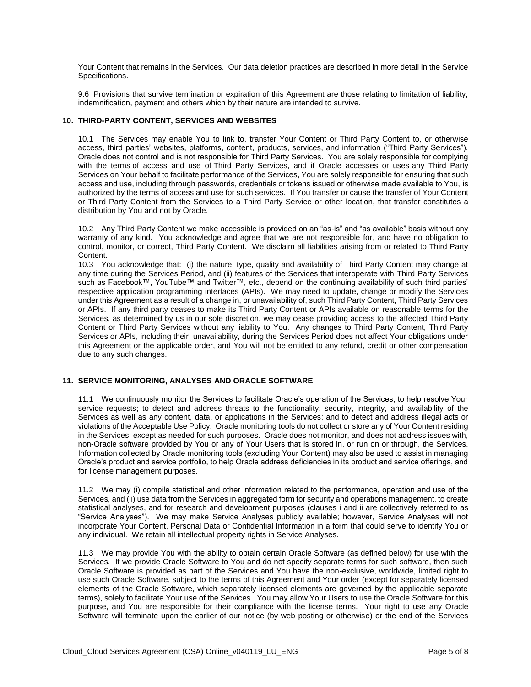Your Content that remains in the Services. Our data deletion practices are described in more detail in the Service Specifications.

9.6 Provisions that survive termination or expiration of this Agreement are those relating to limitation of liability, indemnification, payment and others which by their nature are intended to survive.

#### **10. THIRD-PARTY CONTENT, SERVICES AND WEBSITES**

10.1 The Services may enable You to link to, transfer Your Content or Third Party Content to, or otherwise access, third parties' websites, platforms, content, products, services, and information ("Third Party Services"). Oracle does not control and is not responsible for Third Party Services. You are solely responsible for complying with the terms of access and use of Third Party Services, and if Oracle accesses or uses any Third Party Services on Your behalf to facilitate performance of the Services, You are solely responsible for ensuring that such access and use, including through passwords, credentials or tokens issued or otherwise made available to You, is authorized by the terms of access and use for such services. If You transfer or cause the transfer of Your Content or Third Party Content from the Services to a Third Party Service or other location, that transfer constitutes a distribution by You and not by Oracle.

10.2 Any Third Party Content we make accessible is provided on an "as-is" and "as available" basis without any warranty of any kind. You acknowledge and agree that we are not responsible for, and have no obligation to control, monitor, or correct, Third Party Content. We disclaim all liabilities arising from or related to Third Party Content.

10.3 You acknowledge that: (i) the nature, type, quality and availability of Third Party Content may change at any time during the Services Period, and (ii) features of the Services that interoperate with Third Party Services such as Facebook™, YouTube™ and Twitter™, etc., depend on the continuing availability of such third parties' respective application programming interfaces (APIs). We may need to update, change or modify the Services under this Agreement as a result of a change in, or unavailability of, such Third Party Content, Third Party Services or APIs. If any third party ceases to make its Third Party Content or APIs available on reasonable terms for the Services, as determined by us in our sole discretion, we may cease providing access to the affected Third Party Content or Third Party Services without any liability to You. Any changes to Third Party Content, Third Party Services or APIs, including their unavailability, during the Services Period does not affect Your obligations under this Agreement or the applicable order, and You will not be entitled to any refund, credit or other compensation due to any such changes.

#### **11. SERVICE MONITORING, ANALYSES AND ORACLE SOFTWARE**

11.1 We continuously monitor the Services to facilitate Oracle's operation of the Services; to help resolve Your service requests; to detect and address threats to the functionality, security, integrity, and availability of the Services as well as any content, data, or applications in the Services; and to detect and address illegal acts or violations of the Acceptable Use Policy. Oracle monitoring tools do not collect or store any of Your Content residing in the Services, except as needed for such purposes. Oracle does not monitor, and does not address issues with, non-Oracle software provided by You or any of Your Users that is stored in, or run on or through, the Services. Information collected by Oracle monitoring tools (excluding Your Content) may also be used to assist in managing Oracle's product and service portfolio, to help Oracle address deficiencies in its product and service offerings, and for license management purposes.

11.2 We may (i) compile statistical and other information related to the performance, operation and use of the Services, and (ii) use data from the Services in aggregated form for security and operations management, to create statistical analyses, and for research and development purposes (clauses i and ii are collectively referred to as "Service Analyses"). We may make Service Analyses publicly available; however, Service Analyses will not incorporate Your Content, Personal Data or Confidential Information in a form that could serve to identify You or any individual. We retain all intellectual property rights in Service Analyses.

11.3 We may provide You with the ability to obtain certain Oracle Software (as defined below) for use with the Services. If we provide Oracle Software to You and do not specify separate terms for such software, then such Oracle Software is provided as part of the Services and You have the non-exclusive, worldwide, limited right to use such Oracle Software, subject to the terms of this Agreement and Your order (except for separately licensed elements of the Oracle Software, which separately licensed elements are governed by the applicable separate terms), solely to facilitate Your use of the Services. You may allow Your Users to use the Oracle Software for this purpose, and You are responsible for their compliance with the license terms. Your right to use any Oracle Software will terminate upon the earlier of our notice (by web posting or otherwise) or the end of the Services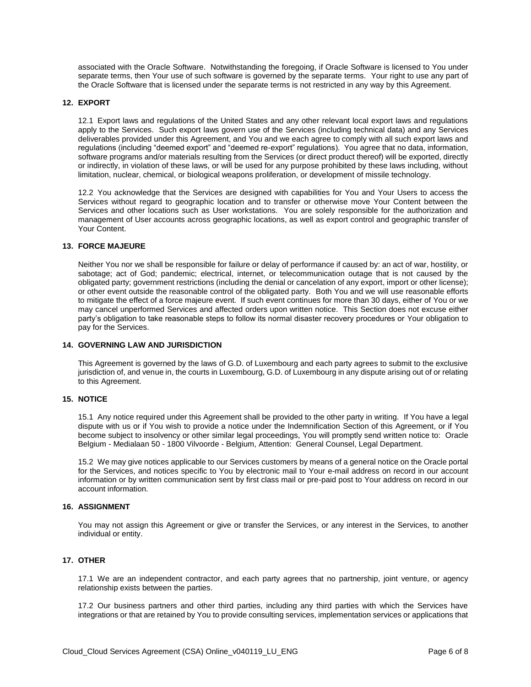associated with the Oracle Software. Notwithstanding the foregoing, if Oracle Software is licensed to You under separate terms, then Your use of such software is governed by the separate terms. Your right to use any part of the Oracle Software that is licensed under the separate terms is not restricted in any way by this Agreement.

#### **12. EXPORT**

12.1 Export laws and regulations of the United States and any other relevant local export laws and regulations apply to the Services. Such export laws govern use of the Services (including technical data) and any Services deliverables provided under this Agreement, and You and we each agree to comply with all such export laws and regulations (including "deemed export" and "deemed re-export" regulations). You agree that no data, information, software programs and/or materials resulting from the Services (or direct product thereof) will be exported, directly or indirectly, in violation of these laws, or will be used for any purpose prohibited by these laws including, without limitation, nuclear, chemical, or biological weapons proliferation, or development of missile technology.

12.2 You acknowledge that the Services are designed with capabilities for You and Your Users to access the Services without regard to geographic location and to transfer or otherwise move Your Content between the Services and other locations such as User workstations. You are solely responsible for the authorization and management of User accounts across geographic locations, as well as export control and geographic transfer of Your Content.

#### **13. FORCE MAJEURE**

Neither You nor we shall be responsible for failure or delay of performance if caused by: an act of war, hostility, or sabotage; act of God; pandemic; electrical, internet, or telecommunication outage that is not caused by the obligated party; government restrictions (including the denial or cancelation of any export, import or other license); or other event outside the reasonable control of the obligated party. Both You and we will use reasonable efforts to mitigate the effect of a force majeure event. If such event continues for more than 30 days, either of You or we may cancel unperformed Services and affected orders upon written notice. This Section does not excuse either party's obligation to take reasonable steps to follow its normal disaster recovery procedures or Your obligation to pay for the Services.

#### **14. GOVERNING LAW AND JURISDICTION**

This Agreement is governed by the laws of G.D. of Luxembourg and each party agrees to submit to the exclusive jurisdiction of, and venue in, the courts in Luxembourg, G.D. of Luxembourg in any dispute arising out of or relating to this Agreement.

#### **15. NOTICE**

15.1 Any notice required under this Agreement shall be provided to the other party in writing. If You have a legal dispute with us or if You wish to provide a notice under the Indemnification Section of this Agreement, or if You become subject to insolvency or other similar legal proceedings, You will promptly send written notice to: Oracle Belgium - Medialaan 50 - 1800 Vilvoorde - Belgium, Attention: General Counsel, Legal Department.

15.2 We may give notices applicable to our Services customers by means of a general notice on the Oracle portal for the Services, and notices specific to You by electronic mail to Your e-mail address on record in our account information or by written communication sent by first class mail or pre-paid post to Your address on record in our account information.

### **16. ASSIGNMENT**

You may not assign this Agreement or give or transfer the Services, or any interest in the Services, to another individual or entity.

# **17. OTHER**

17.1 We are an independent contractor, and each party agrees that no partnership, joint venture, or agency relationship exists between the parties.

17.2 Our business partners and other third parties, including any third parties with which the Services have integrations or that are retained by You to provide consulting services, implementation services or applications that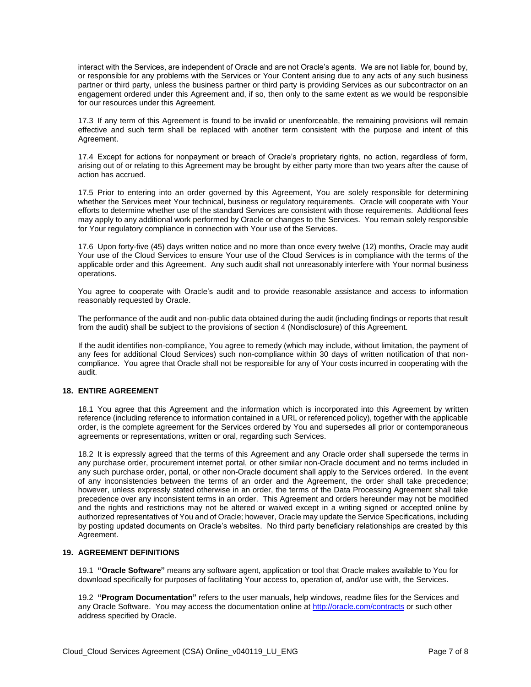interact with the Services, are independent of Oracle and are not Oracle's agents. We are not liable for, bound by, or responsible for any problems with the Services or Your Content arising due to any acts of any such business partner or third party, unless the business partner or third party is providing Services as our subcontractor on an engagement ordered under this Agreement and, if so, then only to the same extent as we would be responsible for our resources under this Agreement.

17.3 If any term of this Agreement is found to be invalid or unenforceable, the remaining provisions will remain effective and such term shall be replaced with another term consistent with the purpose and intent of this Agreement.

17.4 Except for actions for nonpayment or breach of Oracle's proprietary rights, no action, regardless of form, arising out of or relating to this Agreement may be brought by either party more than two years after the cause of action has accrued.

17.5 Prior to entering into an order governed by this Agreement, You are solely responsible for determining whether the Services meet Your technical, business or regulatory requirements. Oracle will cooperate with Your efforts to determine whether use of the standard Services are consistent with those requirements. Additional fees may apply to any additional work performed by Oracle or changes to the Services. You remain solely responsible for Your regulatory compliance in connection with Your use of the Services.

17.6 Upon forty-five (45) days written notice and no more than once every twelve (12) months, Oracle may audit Your use of the Cloud Services to ensure Your use of the Cloud Services is in compliance with the terms of the applicable order and this Agreement. Any such audit shall not unreasonably interfere with Your normal business operations.

You agree to cooperate with Oracle's audit and to provide reasonable assistance and access to information reasonably requested by Oracle.

The performance of the audit and non-public data obtained during the audit (including findings or reports that result from the audit) shall be subject to the provisions of section 4 (Nondisclosure) of this Agreement.

If the audit identifies non-compliance, You agree to remedy (which may include, without limitation, the payment of any fees for additional Cloud Services) such non-compliance within 30 days of written notification of that noncompliance. You agree that Oracle shall not be responsible for any of Your costs incurred in cooperating with the audit.

#### **18. ENTIRE AGREEMENT**

18.1 You agree that this Agreement and the information which is incorporated into this Agreement by written reference (including reference to information contained in a URL or referenced policy), together with the applicable order, is the complete agreement for the Services ordered by You and supersedes all prior or contemporaneous agreements or representations, written or oral, regarding such Services.

18.2 It is expressly agreed that the terms of this Agreement and any Oracle order shall supersede the terms in any purchase order, procurement internet portal, or other similar non-Oracle document and no terms included in any such purchase order, portal, or other non-Oracle document shall apply to the Services ordered. In the event of any inconsistencies between the terms of an order and the Agreement, the order shall take precedence; however, unless expressly stated otherwise in an order, the terms of the Data Processing Agreement shall take precedence over any inconsistent terms in an order. This Agreement and orders hereunder may not be modified and the rights and restrictions may not be altered or waived except in a writing signed or accepted online by authorized representatives of You and of Oracle; however, Oracle may update the Service Specifications, including by posting updated documents on Oracle's websites. No third party beneficiary relationships are created by this Agreement.

#### **19. AGREEMENT DEFINITIONS**

19.1 **"Oracle Software"** means any software agent, application or tool that Oracle makes available to You for download specifically for purposes of facilitating Your access to, operation of, and/or use with, the Services.

19.2 **"Program Documentation"** refers to the user manuals, help windows, readme files for the Services and any Oracle Software. You may access the documentation online a[t http://oracle.com/contracts](http://oracle.com/contracts) or such other address specified by Oracle.